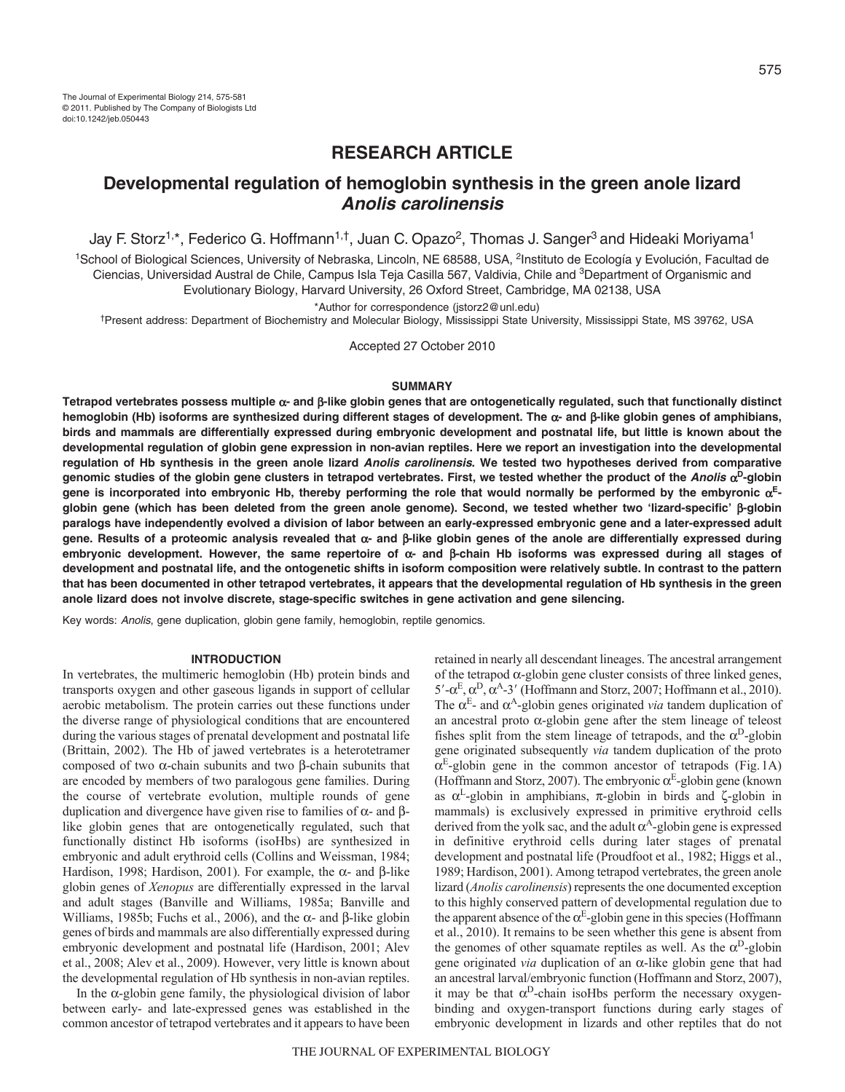# **RESEARCH ARTICLE**

# **Developmental regulation of hemoglobin synthesis in the green anole lizard Anolis carolinensis**

Jay F. Storz<sup>1,\*</sup>, Federico G. Hoffmann<sup>1,†</sup>, Juan C. Opazo<sup>2</sup>, Thomas J. Sanger<sup>3</sup> and Hideaki Moriyama<sup>1</sup>

<sup>1</sup>School of Biological Sciences, University of Nebraska, Lincoln, NE 68588, USA, <sup>2</sup>Instituto de Ecología y Evolución, Facultad de Ciencias, Universidad Austral de Chile, Campus Isla Teja Casilla 567, Valdivia, Chile and <sup>3</sup>Department of Organismic and Evolutionary Biology, Harvard University, 26 Oxford Street, Cambridge, MA 02138, USA

\*Author for correspondence (jstorz2@unl.edu)

†Present address: Department of Biochemistry and Molecular Biology, Mississippi State University, Mississippi State, MS 39762, USA

Accepted 27 October 2010

## **SUMMARY**

Tetrapod vertebrates possess multiple  $\alpha$ - and  $\beta$ -like globin genes that are ontogenetically regulated, such that functionally distinct hemoglobin (Hb) isoforms are synthesized during different stages of development. The α- and β-like globin genes of amphibians, **birds and mammals are differentially expressed during embryonic development and postnatal life, but little is known about the developmental regulation of globin gene expression in non-avian reptiles. Here we report an investigation into the developmental regulation of Hb synthesis in the green anole lizard Anolis carolinensis. We tested two hypotheses derived from comparative** genomic studies of the globin gene clusters in tetrapod vertebrates. First, we tested whether the product of the Anolis  $\alpha^D$ -globin gene is incorporated into embryonic Hb, thereby performing the role that would normally be performed by the embyronic  $\alpha^{E}$ **globin gene (which has been deleted from the green anole genome). Second, we tested whether two 'lizard-specific' -globin paralogs have independently evolved a division of labor between an early-expressed embryonic gene and a later-expressed adult gene. Results of a proteomic analysis revealed that - and -like globin genes of the anole are differentially expressed during embryonic development. However, the same repertoire of - and -chain Hb isoforms was expressed during all stages of development and postnatal life, and the ontogenetic shifts in isoform composition were relatively subtle. In contrast to the pattern that has been documented in other tetrapod vertebrates, it appears that the developmental regulation of Hb synthesis in the green anole lizard does not involve discrete, stage-specific switches in gene activation and gene silencing.**

Key words: Anolis, gene duplication, globin gene family, hemoglobin, reptile genomics.

#### **INTRODUCTION**

In vertebrates, the multimeric hemoglobin (Hb) protein binds and transports oxygen and other gaseous ligands in support of cellular aerobic metabolism. The protein carries out these functions under the diverse range of physiological conditions that are encountered during the various stages of prenatal development and postnatal life (Brittain, 2002). The Hb of jawed vertebrates is a heterotetramer composed of two  $\alpha$ -chain subunits and two  $\beta$ -chain subunits that are encoded by members of two paralogous gene families. During the course of vertebrate evolution, multiple rounds of gene duplication and divergence have given rise to families of  $\alpha$ - and  $\beta$ like globin genes that are ontogenetically regulated, such that functionally distinct Hb isoforms (isoHbs) are synthesized in embryonic and adult erythroid cells (Collins and Weissman, 1984; Hardison, 1998; Hardison, 2001). For example, the  $\alpha$ - and  $\beta$ -like globin genes of *Xenopus* are differentially expressed in the larval and adult stages (Banville and Williams, 1985a; Banville and Williams, 1985b; Fuchs et al., 2006), and the  $\alpha$ - and  $\beta$ -like globin genes of birds and mammals are also differentially expressed during embryonic development and postnatal life (Hardison, 2001; Alev et al., 2008; Alev et al., 2009). However, very little is known about the developmental regulation of Hb synthesis in non-avian reptiles.

In the  $\alpha$ -globin gene family, the physiological division of labor between early- and late-expressed genes was established in the common ancestor of tetrapod vertebrates and it appears to have been retained in nearly all descendant lineages. The ancestral arrangement of the tetrapod  $\alpha$ -globin gene cluster consists of three linked genes,  $5'-\alpha^E$ ,  $\alpha^D$ ,  $\alpha^A$ -3' (Hoffmann and Storz, 2007; Hoffmann et al., 2010). The  $\alpha^E$ - and  $\alpha^A$ -globin genes originated *via* tandem duplication of an ancestral proto  $\alpha$ -globin gene after the stem lineage of teleost fishes split from the stem lineage of tetrapods, and the  $\alpha^D$ -globin gene originated subsequently *via* tandem duplication of the proto  $\alpha^E$ -globin gene in the common ancestor of tetrapods (Fig.1A) (Hoffmann and Storz, 2007). The embryonic  $\alpha^E$ -globin gene (known as  $\alpha^L$ -globin in amphibians,  $\pi$ -globin in birds and  $\zeta$ -globin in mammals) is exclusively expressed in primitive erythroid cells derived from the yolk sac, and the adult  $\alpha^{A}$ -globin gene is expressed in definitive erythroid cells during later stages of prenatal development and postnatal life (Proudfoot et al., 1982; Higgs et al., 1989; Hardison, 2001). Among tetrapod vertebrates, the green anole lizard (*Anolis carolinensis*) represents the one documented exception to this highly conserved pattern of developmental regulation due to the apparent absence of the  $\alpha^E$ -globin gene in this species (Hoffmann et al., 2010). It remains to be seen whether this gene is absent from the genomes of other squamate reptiles as well. As the  $\alpha^D$ -globin gene originated *via* duplication of an  $\alpha$ -like globin gene that had an ancestral larval/embryonic function (Hoffmann and Storz, 2007), it may be that  $\alpha^D$ -chain isoHbs perform the necessary oxygenbinding and oxygen-transport functions during early stages of embryonic development in lizards and other reptiles that do not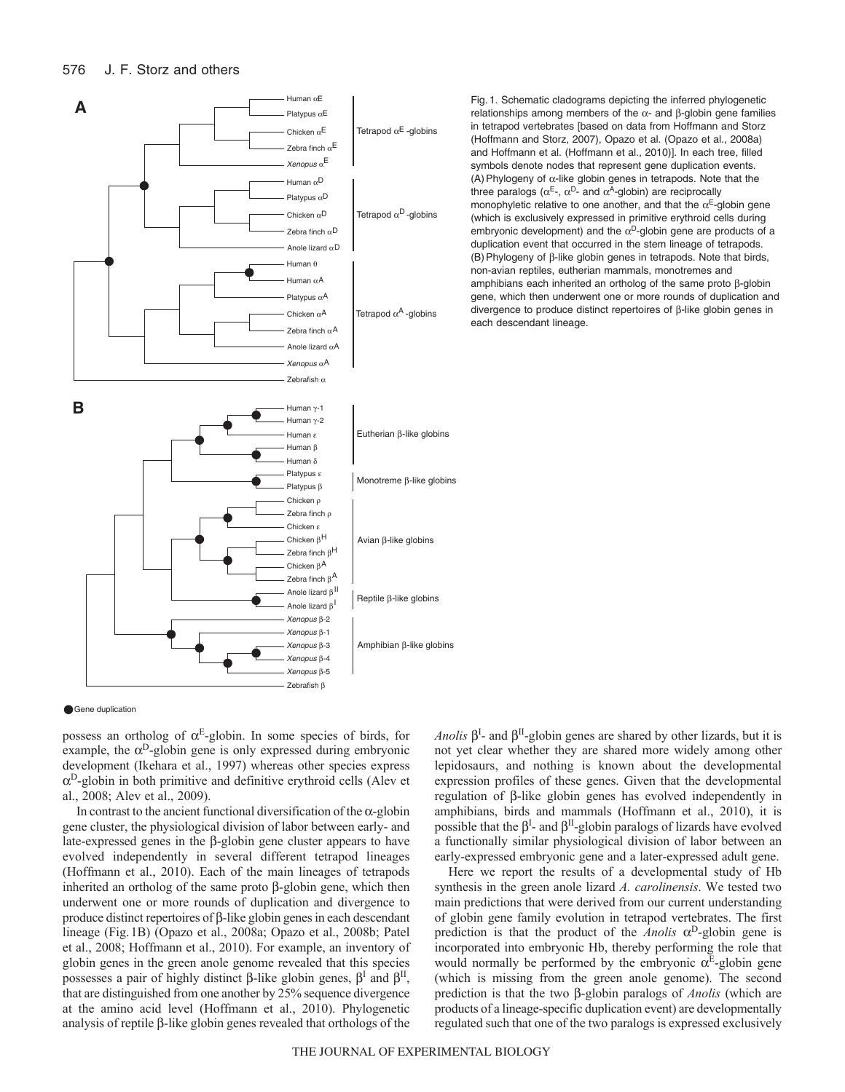

Gene duplication

possess an ortholog of  $\alpha^E$ -globin. In some species of birds, for example, the  $\alpha^D$ -globin gene is only expressed during embryonic development (Ikehara et al., 1997) whereas other species express  $\alpha^D$ -globin in both primitive and definitive erythroid cells (Alev et al., 2008; Alev et al., 2009).

In contrast to the ancient functional diversification of the  $\alpha$ -globin gene cluster, the physiological division of labor between early- and late-expressed genes in the  $\beta$ -globin gene cluster appears to have evolved independently in several different tetrapod lineages (Hoffmann et al., 2010). Each of the main lineages of tetrapods inherited an ortholog of the same proto  $\beta$ -globin gene, which then underwent one or more rounds of duplication and divergence to produce distinct repertoires of  $\beta$ -like globin genes in each descendant lineage (Fig.1B) (Opazo et al., 2008a; Opazo et al., 2008b; Patel et al., 2008; Hoffmann et al., 2010). For example, an inventory of globin genes in the green anole genome revealed that this species possesses a pair of highly distinct  $\beta$ -like globin genes,  $\beta^I$  and  $\beta^II$ , that are distinguished from one another by 25% sequence divergence at the amino acid level (Hoffmann et al., 2010). Phylogenetic analysis of reptile  $\beta$ -like globin genes revealed that orthologs of the

*Anolis*  $\beta^I$ - and  $\beta^{II}$ -globin genes are shared by other lizards, but it is not yet clear whether they are shared more widely among other lepidosaurs, and nothing is known about the developmental expression profiles of these genes. Given that the developmental regulation of  $\beta$ -like globin genes has evolved independently in amphibians, birds and mammals (Hoffmann et al., 2010), it is possible that the  $\beta^I$ - and  $\beta^{II}$ -globin paralogs of lizards have evolved a functionally similar physiological division of labor between an early-expressed embryonic gene and a later-expressed adult gene.

Here we report the results of a developmental study of Hb synthesis in the green anole lizard *A. carolinensis*. We tested two main predictions that were derived from our current understanding of globin gene family evolution in tetrapod vertebrates. The first prediction is that the product of the *Anolis*  $\alpha^D$ -globin gene is incorporated into embryonic Hb, thereby performing the role that would normally be performed by the embryonic  $\alpha^E$ -globin gene (which is missing from the green anole genome). The second prediction is that the two  $\beta$ -globin paralogs of *Anolis* (which are products of a lineage-specific duplication event) are developmentally regulated such that one of the two paralogs is expressed exclusively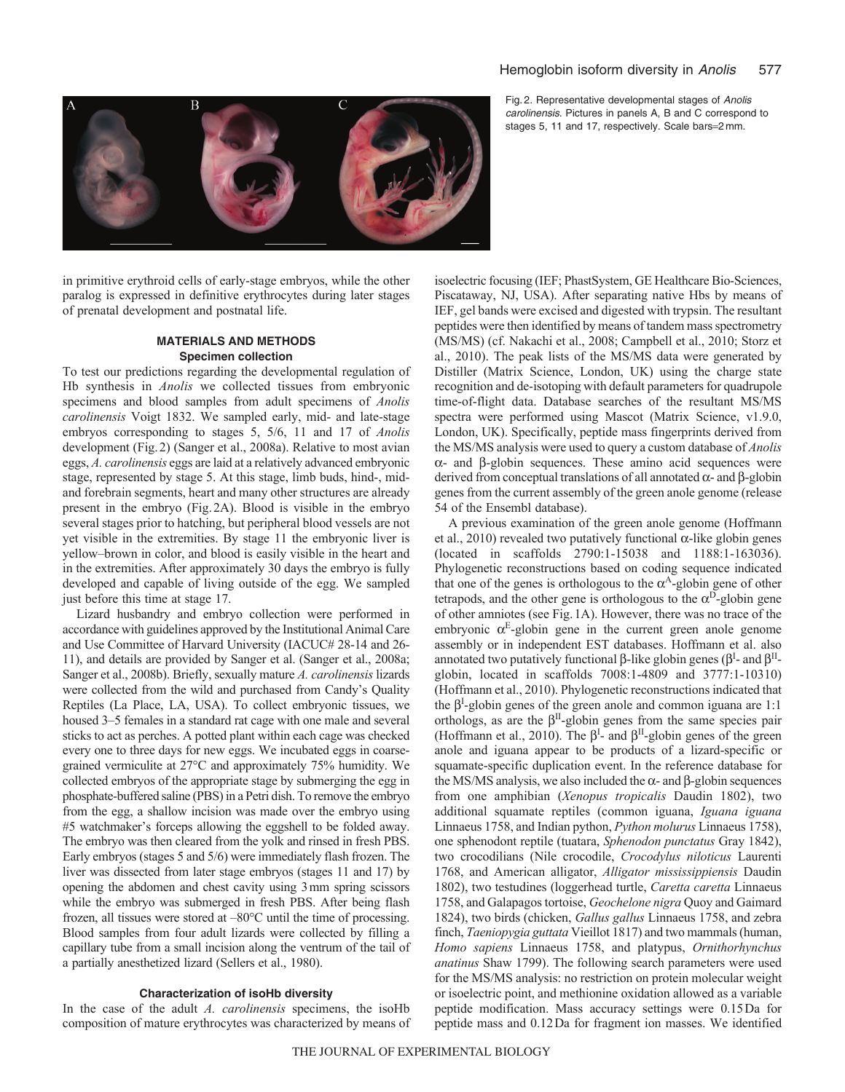## Hemoglobin isoform diversity in Anolis 577



Fig. 2. Representative developmental stages of Anolis carolinensis. Pictures in panels A, B and C correspond to stages 5, 11 and 17, respectively. Scale bars=2 mm.

in primitive erythroid cells of early-stage embryos, while the other paralog is expressed in definitive erythrocytes during later stages of prenatal development and postnatal life.

# **MATERIALS AND METHODS Specimen collection**

To test our predictions regarding the developmental regulation of Hb synthesis in *Anolis* we collected tissues from embryonic specimens and blood samples from adult specimens of *Anolis carolinensis* Voigt 1832. We sampled early, mid- and late-stage embryos corresponding to stages 5, 5/6, 11 and 17 of *Anolis* development (Fig.2) (Sanger et al., 2008a). Relative to most avian eggs, *A. carolinensis* eggs are laid at a relatively advanced embryonic stage, represented by stage 5. At this stage, limb buds, hind-, midand forebrain segments, heart and many other structures are already present in the embryo (Fig.2A). Blood is visible in the embryo several stages prior to hatching, but peripheral blood vessels are not yet visible in the extremities. By stage 11 the embryonic liver is yellow–brown in color, and blood is easily visible in the heart and in the extremities. After approximately 30 days the embryo is fully developed and capable of living outside of the egg. We sampled just before this time at stage 17.

Lizard husbandry and embryo collection were performed in accordance with guidelines approved by the Institutional Animal Care and Use Committee of Harvard University (IACUC# 28-14 and 26- 11), and details are provided by Sanger et al. (Sanger et al., 2008a; Sanger et al., 2008b). Briefly, sexually mature *A. carolinensis* lizards were collected from the wild and purchased from Candy's Quality Reptiles (La Place, LA, USA). To collect embryonic tissues, we housed 3–5 females in a standard rat cage with one male and several sticks to act as perches. A potted plant within each cage was checked every one to three days for new eggs. We incubated eggs in coarsegrained vermiculite at 27°C and approximately 75% humidity. We collected embryos of the appropriate stage by submerging the egg in phosphate-buffered saline (PBS) in a Petri dish. To remove the embryo from the egg, a shallow incision was made over the embryo using #5 watchmaker's forceps allowing the eggshell to be folded away. The embryo was then cleared from the yolk and rinsed in fresh PBS. Early embryos (stages 5 and 5/6) were immediately flash frozen. The liver was dissected from later stage embryos (stages 11 and 17) by opening the abdomen and chest cavity using 3mm spring scissors while the embryo was submerged in fresh PBS. After being flash frozen, all tissues were stored at –80°C until the time of processing. Blood samples from four adult lizards were collected by filling a capillary tube from a small incision along the ventrum of the tail of a partially anesthetized lizard (Sellers et al., 1980).

#### **Characterization of isoHb diversity**

In the case of the adult *A. carolinensis* specimens, the isoHb composition of mature erythrocytes was characterized by means of isoelectric focusing (IEF; PhastSystem, GE Healthcare Bio-Sciences, Piscataway, NJ, USA). After separating native Hbs by means of IEF, gel bands were excised and digested with trypsin. The resultant peptides were then identified by means of tandem mass spectrometry (MS/MS) (cf. Nakachi et al., 2008; Campbell et al., 2010; Storz et al., 2010). The peak lists of the MS/MS data were generated by Distiller (Matrix Science, London, UK) using the charge state recognition and de-isotoping with default parameters for quadrupole time-of-flight data. Database searches of the resultant MS/MS spectra were performed using Mascot (Matrix Science, v1.9.0, London, UK). Specifically, peptide mass fingerprints derived from the MS/MS analysis were used to query a custom database of *Anolis*  $\alpha$ - and  $\beta$ -globin sequences. These amino acid sequences were derived from conceptual translations of all annotated  $\alpha$ - and  $\beta$ -globin genes from the current assembly of the green anole genome (release 54 of the Ensembl database).

A previous examination of the green anole genome (Hoffmann et al., 2010) revealed two putatively functional  $\alpha$ -like globin genes (located in scaffolds 2790:1-15038 and 1188:1-163036). Phylogenetic reconstructions based on coding sequence indicated that one of the genes is orthologous to the  $\alpha^A$ -globin gene of other tetrapods, and the other gene is orthologous to the  $\alpha^D$ -globin gene of other amniotes (see Fig.1A). However, there was no trace of the embryonic  $\alpha^E$ -globin gene in the current green anole genome assembly or in independent EST databases. Hoffmann et al. also annotated two putatively functional  $\beta$ -like globin genes ( $\beta^I$ - and  $\beta^{II}$ globin, located in scaffolds 7008:1-4809 and 3777:1-10310) (Hoffmann et al., 2010). Phylogenetic reconstructions indicated that the  $\beta^I$ -globin genes of the green anole and common iguana are 1:1 orthologs, as are the  $\beta^{II}$ -globin genes from the same species pair (Hoffmann et al., 2010). The  $\beta^I$ - and  $\beta^{II}$ -globin genes of the green anole and iguana appear to be products of a lizard-specific or squamate-specific duplication event. In the reference database for the MS/MS analysis, we also included the  $\alpha$ - and  $\beta$ -globin sequences from one amphibian (*Xenopus tropicalis* Daudin 1802), two additional squamate reptiles (common iguana, *Iguana iguana* Linnaeus 1758, and Indian python, *Python molurus* Linnaeus 1758), one sphenodont reptile (tuatara, *Sphenodon punctatus* Gray 1842), two crocodilians (Nile crocodile, *Crocodylus niloticus* Laurenti 1768, and American alligator, *Alligator mississippiensis* Daudin 1802), two testudines (loggerhead turtle, *Caretta caretta* Linnaeus 1758, and Galapagos tortoise, *Geochelone nigra* Quoy and Gaimard 1824), two birds (chicken, *Gallus gallus* Linnaeus 1758, and zebra finch, *Taeniopygia guttata* Vieillot 1817) and two mammals (human, *Homo sapiens* Linnaeus 1758, and platypus, *Ornithorhynchus anatinus* Shaw 1799). The following search parameters were used for the MS/MS analysis: no restriction on protein molecular weight or isoelectric point, and methionine oxidation allowed as a variable peptide modification. Mass accuracy settings were 0.15Da for peptide mass and 0.12Da for fragment ion masses. We identified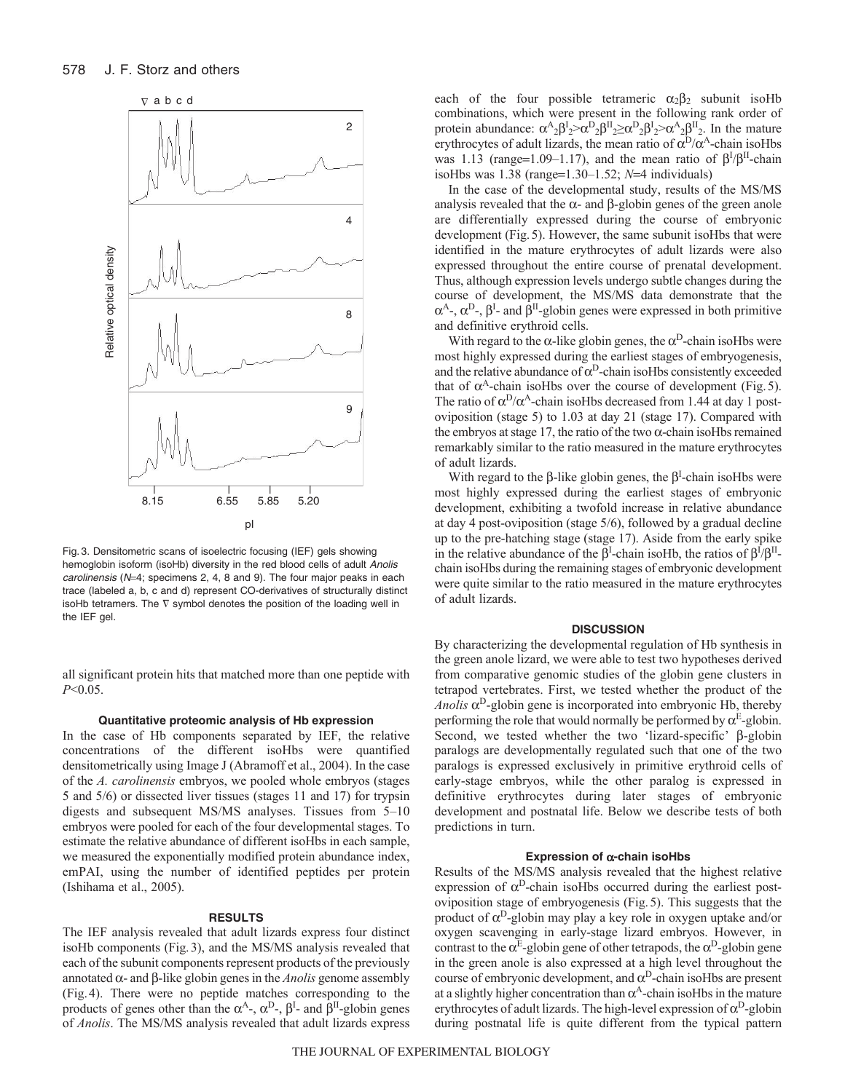

Fig. 3. Densitometric scans of isoelectric focusing (IEF) gels showing hemoglobin isoform (isoHb) diversity in the red blood cells of adult Anolis carolinensis ( $N=4$ ; specimens 2, 4, 8 and 9). The four major peaks in each trace (labeled a, b, c and d) represent CO-derivatives of structurally distinct isoHb tetramers. The  $\nabla$  symbol denotes the position of the loading well in the IEF gel.

all significant protein hits that matched more than one peptide with *P*<0.05.

# **Quantitative proteomic analysis of Hb expression**

In the case of Hb components separated by IEF, the relative concentrations of the different isoHbs were quantified densitometrically using Image J (Abramoff et al., 2004). In the case of the *A. carolinensis* embryos, we pooled whole embryos (stages 5 and 5/6) or dissected liver tissues (stages 11 and 17) for trypsin digests and subsequent MS/MS analyses. Tissues from 5–10 embryos were pooled for each of the four developmental stages. To estimate the relative abundance of different isoHbs in each sample, we measured the exponentially modified protein abundance index, emPAI, using the number of identified peptides per protein (Ishihama et al., 2005).

## **RESULTS**

The IEF analysis revealed that adult lizards express four distinct isoHb components (Fig.3), and the MS/MS analysis revealed that each of the subunit components represent products of the previously annotated  $\alpha$ - and  $\beta$ -like globin genes in the *Anolis* genome assembly (Fig.4). There were no peptide matches corresponding to the products of genes other than the  $\alpha^{A}$ -,  $\alpha^{D}$ -,  $\beta^{I}$ - and  $\beta^{II}$ -globin genes of *Anolis*. The MS/MS analysis revealed that adult lizards express

each of the four possible tetrameric  $\alpha_2 \beta_2$  subunit isoHb combinations, which were present in the following rank order of protein abundance:  $\alpha^A{}_2 \beta^I{}_2 > \alpha^D{}_2 \beta^I{}_2 \ge \alpha^D{}_2 \beta^I{}_2 > \alpha^A{}_2 \beta^I{}_2$ . In the mature erythrocytes of adult lizards, the mean ratio of  $\alpha^{D}/\alpha^{A}$ -chain isoHbs was 1.13 (range=1.09–1.17), and the mean ratio of  $\beta^{I}/\beta^{II}$ -chain isoHbs was  $1.38$  (range= $1.30-1.52$ ;  $N=4$  individuals)

In the case of the developmental study, results of the MS/MS analysis revealed that the  $\alpha$ - and  $\beta$ -globin genes of the green anole are differentially expressed during the course of embryonic development (Fig. 5). However, the same subunit isoHbs that were identified in the mature erythrocytes of adult lizards were also expressed throughout the entire course of prenatal development. Thus, although expression levels undergo subtle changes during the course of development, the MS/MS data demonstrate that the  $\alpha^A$ -,  $\alpha^D$ -,  $\beta^I$ - and  $\beta^II$ -globin genes were expressed in both primitive and definitive erythroid cells.

With regard to the  $\alpha$ -like globin genes, the  $\alpha^D$ -chain isoHbs were most highly expressed during the earliest stages of embryogenesis, and the relative abundance of  $\alpha^D$ -chain isoHbs consistently exceeded that of  $\alpha^A$ -chain isoHbs over the course of development (Fig. 5). The ratio of  $\alpha^D/\alpha^A$ -chain isoHbs decreased from 1.44 at day 1 postoviposition (stage 5) to 1.03 at day 21 (stage 17). Compared with the embryos at stage 17, the ratio of the two  $\alpha$ -chain isoHbs remained remarkably similar to the ratio measured in the mature erythrocytes of adult lizards.

With regard to the  $\beta$ -like globin genes, the  $\beta^I$ -chain isoHbs were most highly expressed during the earliest stages of embryonic development, exhibiting a twofold increase in relative abundance at day 4 post-oviposition (stage 5/6), followed by a gradual decline up to the pre-hatching stage (stage 17). Aside from the early spike in the relative abundance of the  $\beta^I$ -chain isoHb, the ratios of  $\beta^I/\beta^{II}$ chain isoHbs during the remaining stages of embryonic development were quite similar to the ratio measured in the mature erythrocytes of adult lizards.

#### **DISCUSSION**

By characterizing the developmental regulation of Hb synthesis in the green anole lizard, we were able to test two hypotheses derived from comparative genomic studies of the globin gene clusters in tetrapod vertebrates. First, we tested whether the product of the *Anolis*  $\alpha^D$ -globin gene is incorporated into embryonic Hb, thereby performing the role that would normally be performed by  $\alpha^E$ -globin. Second, we tested whether the two 'lizard-specific'  $\beta$ -globin paralogs are developmentally regulated such that one of the two paralogs is expressed exclusively in primitive erythroid cells of early-stage embryos, while the other paralog is expressed in definitive erythrocytes during later stages of embryonic development and postnatal life. Below we describe tests of both predictions in turn.

#### **Expression of α-chain isoHbs**

Results of the MS/MS analysis revealed that the highest relative expression of  $\alpha^D$ -chain isoHbs occurred during the earliest postoviposition stage of embryogenesis (Fig.5). This suggests that the product of  $\alpha^D$ -globin may play a key role in oxygen uptake and/or oxygen scavenging in early-stage lizard embryos. However, in contrast to the  $\alpha^E$ -globin gene of other tetrapods, the  $\alpha^D$ -globin gene in the green anole is also expressed at a high level throughout the course of embryonic development, and  $\alpha^D$ -chain isoHbs are present at a slightly higher concentration than  $\alpha^{A}$ -chain isoHbs in the mature erythrocytes of adult lizards. The high-level expression of  $\alpha^D$ -globin during postnatal life is quite different from the typical pattern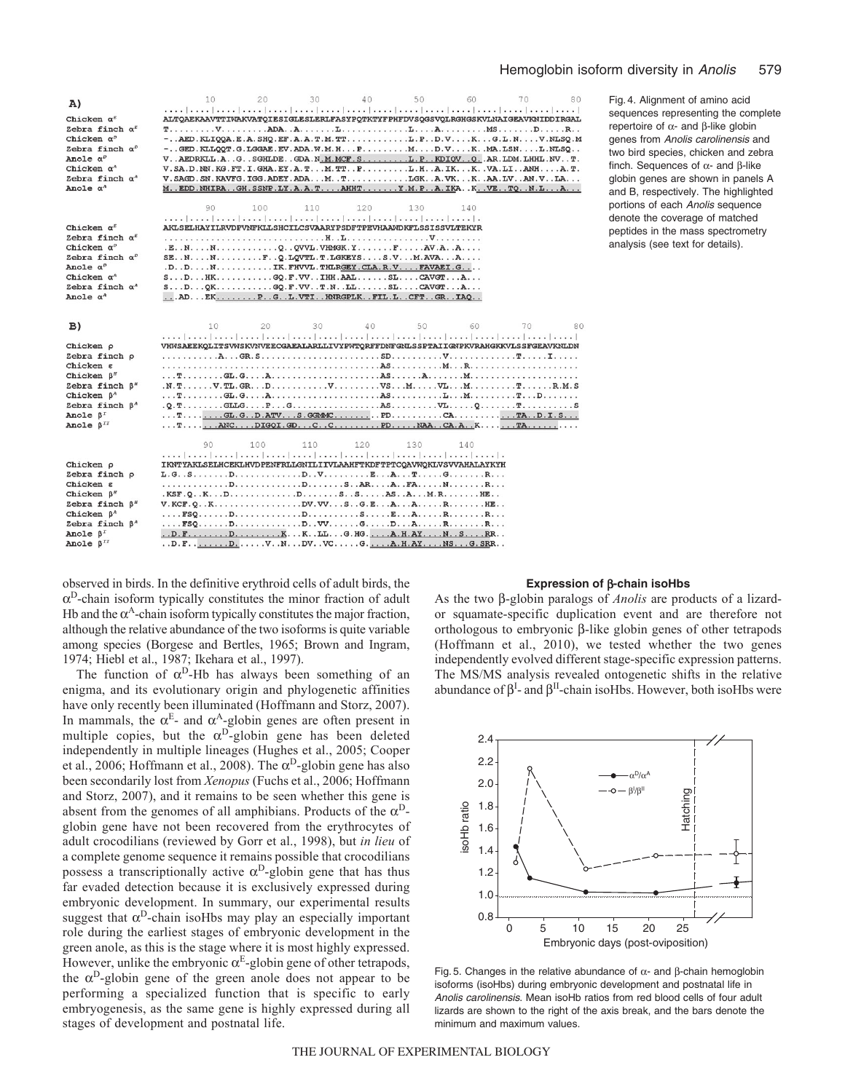| A)                                                 | 40<br>20<br>30<br>50<br>60<br>10<br>70<br>80                                                                                                                                                                                                                                                                                                                                                                             |
|----------------------------------------------------|--------------------------------------------------------------------------------------------------------------------------------------------------------------------------------------------------------------------------------------------------------------------------------------------------------------------------------------------------------------------------------------------------------------------------|
| Chicken $\alpha^E$                                 | ALTOAEKAAVTTIWAKVATOIESIGLESLERLFASYPOTKTYFPHFDVSOGSVOLRGHGSKVLNAIGEAVKNIDDIRGAL                                                                                                                                                                                                                                                                                                                                         |
| Zebra finch $\alpha^E$                             | $T_1, \ldots, T_k, \ldots, T_k, \ldots, T_k, \ldots, T_k, \ldots, T_k, \ldots, T_k, \ldots, T_k, \ldots, T_k, \ldots, T_k, \ldots, T_k, \ldots, T_k, \ldots, T_k, \ldots, T_k, \ldots, T_k, \ldots, T_k, \ldots, T_k, \ldots, T_k, \ldots, T_k, \ldots, T_k, \ldots, T_k, \ldots, T_k, \ldots, T_k, \ldots, T_k, \ldots, T_k, \ldots, T_k, \ldots, T_k, \ldots, T_k, \ldots, T_k, \ldots, T_k, \ldots, T_k, \ldots, T_k$ |
| Chicken $\alpha^p$                                 | $-$ . AED. KLIOOA. E. A. SHO. EF. A. A. T. M. TT. L. P. . D. V K.  G. L. N.  V. NLSO. M                                                                                                                                                                                                                                                                                                                                  |
| Zebra finch $\alpha^p$                             | $-$ GED.KLLQQT.G.LGGAE.EV.ADA.W.M.HPMD.VKMA.LSNL.NLSQ                                                                                                                                                                                                                                                                                                                                                                    |
| Anole $\alpha^D$                                   | V. . AEDRKLL.A. .G. . SGHLDE. . GDA. N. M. MCF. S. L. P. . KDIQV. . Q. . AR. LDM. LHHL. NV. . T.                                                                                                                                                                                                                                                                                                                         |
| Chicken $\alpha^A$                                 | V.SA.D.NN.KG.FT.I.GHA.EY.A.TM.TTPL.HA.IKKVA.LIANHA.T.                                                                                                                                                                                                                                                                                                                                                                    |
| Zebra finch $\alpha^A$                             | V. SAGD. SN. KAVEG. IGG. ADEY. ADA M. T LGK A. VK K AA. LV AN. V LA                                                                                                                                                                                                                                                                                                                                                      |
| Anole $\alpha^A$                                   | M. EDD. NHIRA. GH. SSNP. LY. A. A. T. AHHT. Y. M. P. . A. IKA. . K. . VE. . TQ. . N. L. A.                                                                                                                                                                                                                                                                                                                               |
|                                                    |                                                                                                                                                                                                                                                                                                                                                                                                                          |
|                                                    | 90<br>120<br>100<br>110<br>130<br>140                                                                                                                                                                                                                                                                                                                                                                                    |
|                                                    |                                                                                                                                                                                                                                                                                                                                                                                                                          |
| Chicken $\alpha^E$                                 | AKLSELHAYILRVDPVNFKLLSHCILCSVAARYPSDFTPEVHAAWDKFLSSISSVLTEKYR                                                                                                                                                                                                                                                                                                                                                            |
| Zebra finch $\alpha^E$                             |                                                                                                                                                                                                                                                                                                                                                                                                                          |
| Chicken $\alpha^p$                                 | $E \ldots N$ , $N$ , $\ldots$ , $\ldots$ , $\ldots$ , $\odot$ , $\odot$ VVL, VHMGK, $Y$ , $\ldots$ , $F$ , $\ldots$ , $\ddot{AV}$ , $A$ , $\ldots$ , .                                                                                                                                                                                                                                                                   |
| Zebra finch $\alpha^p$                             | $SE. N. \ldots N. \ldots N.$ $F. . Q. LQVTL.T.LGKEYS. \ldots S.V. M.AVA. A. \ldots$                                                                                                                                                                                                                                                                                                                                      |
| Anole $\alpha^p$                                   | $D \ldots D \ldots N \ldots \ldots \ldots IK$ . FHVVL. THLRGEY. CLA. R. V. $\ldots$ . FAVAEI. G. $\ldots$                                                                                                                                                                                                                                                                                                                |
| Chicken $\alpha^A$                                 |                                                                                                                                                                                                                                                                                                                                                                                                                          |
| Zebra finch $\alpha$ <sup><math>\land</math></sup> |                                                                                                                                                                                                                                                                                                                                                                                                                          |
| Anole $\alpha^A$                                   | ADEKPGL.VTIHNRGPLKFIL.LCFTGRIAQ                                                                                                                                                                                                                                                                                                                                                                                          |
|                                                    |                                                                                                                                                                                                                                                                                                                                                                                                                          |
| B)                                                 | 40<br>30<br>50<br>60<br>70<br>10<br>20<br>80                                                                                                                                                                                                                                                                                                                                                                             |
|                                                    | التجيدا بنيط استجاهتها بنجرا بنجرا بنجرا حديرا وجزرا وجراح المراجعة المحرا وبحرا ويجرا ورجرا وروز                                                                                                                                                                                                                                                                                                                        |
| Chicken p                                          | VHWSAEEKOLITSVWSKVNVEECGAEALARLLIVYPWTQRFFDNFGNLSSPTAIIGNPKVRAHGKKVLSSFGEAVKNLDN                                                                                                                                                                                                                                                                                                                                         |
| Zebra finch p                                      |                                                                                                                                                                                                                                                                                                                                                                                                                          |
| $Chicken \varepsilon$                              |                                                                                                                                                                                                                                                                                                                                                                                                                          |
| Chicken $\beta''$                                  |                                                                                                                                                                                                                                                                                                                                                                                                                          |
| Zebra finch $\beta''$                              |                                                                                                                                                                                                                                                                                                                                                                                                                          |
| Chicken $\beta^A$                                  |                                                                                                                                                                                                                                                                                                                                                                                                                          |
| Zebra finch $\beta^A$                              |                                                                                                                                                                                                                                                                                                                                                                                                                          |
| Anole $\beta$ <sup>r</sup>                         |                                                                                                                                                                                                                                                                                                                                                                                                                          |
| Anole $\beta$ <sup>II</sup>                        |                                                                                                                                                                                                                                                                                                                                                                                                                          |
|                                                    |                                                                                                                                                                                                                                                                                                                                                                                                                          |
|                                                    | 90<br>100<br>110<br>120<br>130<br>140                                                                                                                                                                                                                                                                                                                                                                                    |
|                                                    |                                                                                                                                                                                                                                                                                                                                                                                                                          |
| Chicken p                                          | IKNTYAKLSELHCEKLHVDPENFRLLGNILIIVLAAHFTKDFTPTCOAVWOKLVSVVAHALAYKYH                                                                                                                                                                                                                                                                                                                                                       |
| Zebra finch p                                      |                                                                                                                                                                                                                                                                                                                                                                                                                          |
| Chicken g                                          |                                                                                                                                                                                                                                                                                                                                                                                                                          |
| Chicken $\beta$ <sup><i>H</i></sup>                |                                                                                                                                                                                                                                                                                                                                                                                                                          |
| Zebra finch $\beta$ <sup><i>"</i></sup>            | $V.KCF. Q. . K. D V. VV. S. . G.E. A. A. R. HE. .$                                                                                                                                                                                                                                                                                                                                                                       |
| Chicken $\beta^A$                                  |                                                                                                                                                                                                                                                                                                                                                                                                                          |
| Zebra finch $\beta^A$                              |                                                                                                                                                                                                                                                                                                                                                                                                                          |
| Anole $\beta^T$                                    |                                                                                                                                                                                                                                                                                                                                                                                                                          |
| Anole $\beta$ <sup>II</sup>                        | . . D. F. D. V. . N. DV. . VC. G. A. H. AY. NS. G. SRR. .                                                                                                                                                                                                                                                                                                                                                                |

Fig. 4. Alignment of amino acid sequences representing the complete repertoire of  $\alpha$ - and  $\beta$ -like globin genes from Anolis carolinensis and two bird species, chicken and zebra finch. Sequences of  $\alpha$ - and  $\beta$ -like globin genes are shown in panels A and B, respectively. The highlighted portions of each Anolis sequence denote the coverage of matched peptides in the mass spectrometry analysis (see text for details).

observed in birds. In the definitive erythroid cells of adult birds, the  $\alpha^D$ -chain isoform typically constitutes the minor fraction of adult Hb and the  $\alpha^{A}$ -chain isoform typically constitutes the major fraction, although the relative abundance of the two isoforms is quite variable among species (Borgese and Bertles, 1965; Brown and Ingram, 1974; Hiebl et al., 1987; Ikehara et al., 1997).

The function of  $\alpha^D$ -Hb has always been something of an enigma, and its evolutionary origin and phylogenetic affinities have only recently been illuminated (Hoffmann and Storz, 2007). In mammals, the  $\alpha^E$ - and  $\alpha^A$ -globin genes are often present in multiple copies, but the  $\alpha^D$ -globin gene has been deleted independently in multiple lineages (Hughes et al., 2005; Cooper et al., 2006; Hoffmann et al., 2008). The  $\alpha^D$ -globin gene has also been secondarily lost from *Xenopus* (Fuchs et al., 2006; Hoffmann and Storz, 2007), and it remains to be seen whether this gene is absent from the genomes of all amphibians. Products of the  $\alpha^D$ globin gene have not been recovered from the erythrocytes of adult crocodilians (reviewed by Gorr et al., 1998), but *in lieu* of a complete genome sequence it remains possible that crocodilians possess a transcriptionally active  $\alpha^D$ -globin gene that has thus far evaded detection because it is exclusively expressed during embryonic development. In summary, our experimental results suggest that  $\alpha^D$ -chain isoHbs may play an especially important role during the earliest stages of embryonic development in the green anole, as this is the stage where it is most highly expressed. However, unlike the embryonic  $\alpha^E$ -globin gene of other tetrapods, the  $\alpha^D$ -globin gene of the green anole does not appear to be performing a specialized function that is specific to early embryogenesis, as the same gene is highly expressed during all stages of development and postnatal life.

#### **Expression of β-chain isoHbs**

As the two β-globin paralogs of *Anolis* are products of a lizardor squamate-specific duplication event and are therefore not orthologous to embryonic  $\beta$ -like globin genes of other tetrapods (Hoffmann et al., 2010), we tested whether the two genes independently evolved different stage-specific expression patterns. The MS/MS analysis revealed ontogenetic shifts in the relative abundance of  $\beta^I$ - and  $\beta^{II}$ -chain isoHbs. However, both isoHbs were



Fig. 5. Changes in the relative abundance of  $\alpha$ - and  $\beta$ -chain hemoglobin isoforms (isoHbs) during embryonic development and postnatal life in Anolis carolinensis. Mean isoHb ratios from red blood cells of four adult lizards are shown to the right of the axis break, and the bars denote the minimum and maximum values.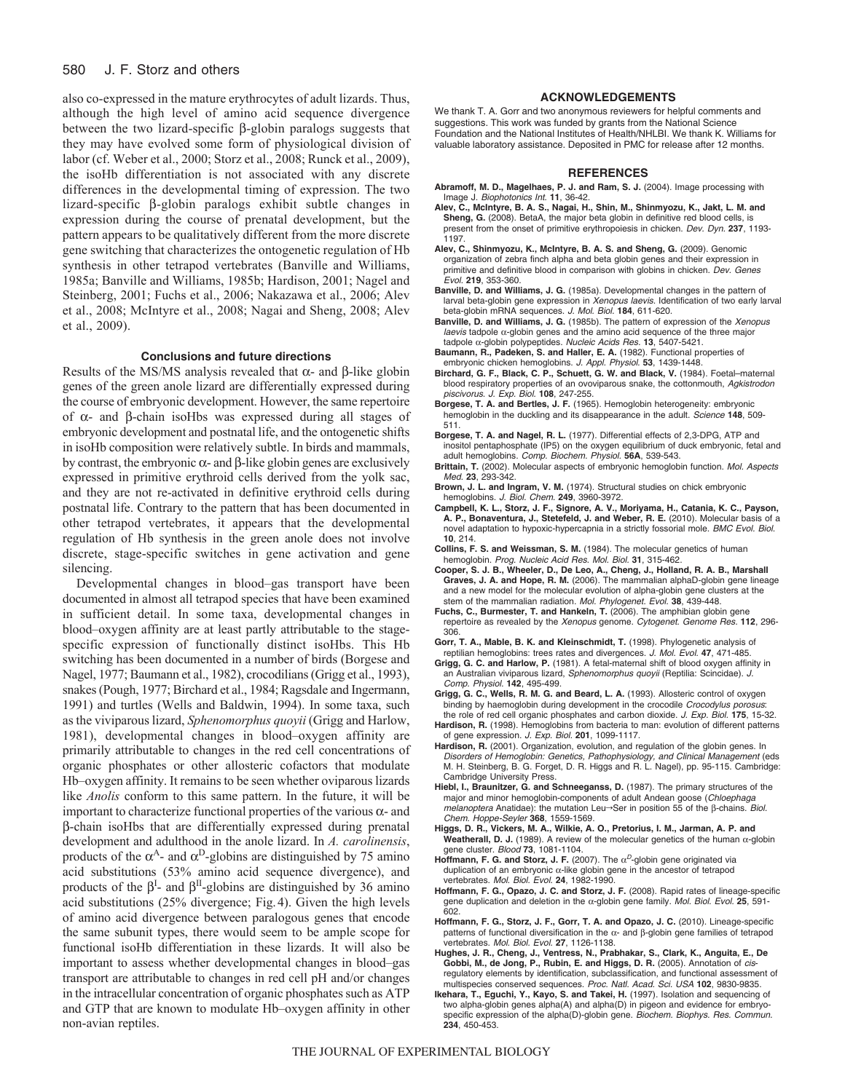#### 580 J. F. Storz and others

also co-expressed in the mature erythrocytes of adult lizards. Thus, although the high level of amino acid sequence divergence between the two lizard-specific  $\beta$ -globin paralogs suggests that they may have evolved some form of physiological division of labor (cf. Weber et al., 2000; Storz et al., 2008; Runck et al., 2009), the isoHb differentiation is not associated with any discrete differences in the developmental timing of expression. The two lizard-specific  $\beta$ -globin paralogs exhibit subtle changes in expression during the course of prenatal development, but the pattern appears to be qualitatively different from the more discrete gene switching that characterizes the ontogenetic regulation of Hb synthesis in other tetrapod vertebrates (Banville and Williams, 1985a; Banville and Williams, 1985b; Hardison, 2001; Nagel and Steinberg, 2001; Fuchs et al., 2006; Nakazawa et al., 2006; Alev et al., 2008; McIntyre et al., 2008; Nagai and Sheng, 2008; Alev et al., 2009).

### **Conclusions and future directions**

Results of the MS/MS analysis revealed that  $\alpha$ - and  $\beta$ -like globin genes of the green anole lizard are differentially expressed during the course of embryonic development. However, the same repertoire of  $\alpha$ - and  $\beta$ -chain isoHbs was expressed during all stages of embryonic development and postnatal life, and the ontogenetic shifts in isoHb composition were relatively subtle. In birds and mammals, by contrast, the embryonic  $\alpha$ - and  $\beta$ -like globin genes are exclusively expressed in primitive erythroid cells derived from the yolk sac, and they are not re-activated in definitive erythroid cells during postnatal life. Contrary to the pattern that has been documented in other tetrapod vertebrates, it appears that the developmental regulation of Hb synthesis in the green anole does not involve discrete, stage-specific switches in gene activation and gene silencing.

Developmental changes in blood–gas transport have been documented in almost all tetrapod species that have been examined in sufficient detail. In some taxa, developmental changes in blood–oxygen affinity are at least partly attributable to the stagespecific expression of functionally distinct isoHbs. This Hb switching has been documented in a number of birds (Borgese and Nagel, 1977; Baumann et al., 1982), crocodilians (Grigg et al., 1993), snakes (Pough, 1977; Birchard et al., 1984; Ragsdale and Ingermann, 1991) and turtles (Wells and Baldwin, 1994). In some taxa, such as the viviparous lizard, *Sphenomorphus quoyii* (Grigg and Harlow, 1981), developmental changes in blood–oxygen affinity are primarily attributable to changes in the red cell concentrations of organic phosphates or other allosteric cofactors that modulate Hb–oxygen affinity. It remains to be seen whether oviparous lizards like *Anolis* conform to this same pattern. In the future, it will be important to characterize functional properties of the various  $\alpha$ - and -chain isoHbs that are differentially expressed during prenatal development and adulthood in the anole lizard. In *A. carolinensis*, products of the  $\alpha^A$ - and  $\alpha^D$ -globins are distinguished by 75 amino acid substitutions (53% amino acid sequence divergence), and products of the  $\beta^I$ - and  $\beta^{II}$ -globins are distinguished by 36 amino acid substitutions (25% divergence; Fig.4). Given the high levels of amino acid divergence between paralogous genes that encode the same subunit types, there would seem to be ample scope for functional isoHb differentiation in these lizards. It will also be important to assess whether developmental changes in blood–gas transport are attributable to changes in red cell pH and/or changes in the intracellular concentration of organic phosphates such as ATP and GTP that are known to modulate Hb–oxygen affinity in other non-avian reptiles.

#### **ACKNOWLEDGEMENTS**

We thank T. A. Gorr and two anonymous reviewers for helpful comments and suggestions. This work was funded by grants from the National Science Foundation and the National Institutes of Health/NHLBI. We thank K. Williams for valuable laboratory assistance. Deposited in PMC for release after 12 months.

#### **REFERENCES**

- **Abramoff, M. D., Magelhaes, P. J. and Ram, S. J.** (2004). Image processing with Image J. Biophotonics Int. **11**, 36-42.
- **Alev, C., McIntyre, B. A. S., Nagai, H., Shin, M., Shinmyozu, K., Jakt, L. M. and** Sheng, G. (2008). BetaA, the major beta globin in definitive red blood cells, is present from the onset of primitive erythropoiesis in chicken. Dev. Dyn. **237**, 1193- 1197.
- **Alev, C., Shinmyozu, K., McIntyre, B. A. S. and Sheng, G.** (2009). Genomic organization of zebra finch alpha and beta globin genes and their expression in primitive and definitive blood in comparison with globins in chicken. Dev. Genes Evol. **219**, 353-360.
- **Banville, D. and Williams, J. G.** (1985a). Developmental changes in the pattern of larval beta-globin gene expression in Xenopus laevis. Identification of two early larval beta-globin mRNA sequences. J. Mol. Biol. **184**, 611-620.
- **Banville, D. and Williams, J. G.** (1985b). The pattern of expression of the Xenopus laevis tadpole  $\alpha$ -globin genes and the amino acid sequence of the three major tadpole α-globin polypeptides. Nucleic Acids Res. 13, 5407-5421.
- **Baumann, R., Padeken, S. and Haller, E. A.** (1982). Functional properties of embryonic chicken hemoglobins. J. Appl. Physiol. **53**, 1439-1448.
- **Birchard, G. F., Black, C. P., Schuett, G. W. and Black, V.** (1984). Foetal–maternal blood respiratory properties of an ovoviparous snake, the cottonmouth, Agkistrodon piscivorus. J. Exp. Biol. **108**, 247-255.
- **Borgese, T. A. and Bertles, J. F.** (1965). Hemoglobin heterogeneity: embryonic hemoglobin in the duckling and its disappearance in the adult. Science **148**, 509- 511.
- **Borgese, T. A. and Nagel, R. L.** (1977). Differential effects of 2,3-DPG, ATP and inositol pentaphosphate (IP5) on the oxygen equilibrium of duck embryonic, fetal and adult hemoglobins. Comp. Biochem. Physiol. **56A**, 539-543.
- **Brittain, T.** (2002). Molecular aspects of embryonic hemoglobin function. Mol. Aspects Med. **23**, 293-342.
- **Brown, J. L. and Ingram, V. M.** (1974). Structural studies on chick embryonic hemoglobins. J. Biol. Chem. **249**, 3960-3972.
- **Campbell, K. L., Storz, J. F., Signore, A. V., Moriyama, H., Catania, K. C., Payson, A. P., Bonaventura, J., Stetefeld, J. and Weber, R. E.** (2010). Molecular basis of a novel adaptation to hypoxic-hypercapnia in a strictly fossorial mole. BMC Evol. Biol. **10**, 214.
- **Collins, F. S. and Weissman, S. M.** (1984). The molecular genetics of human hemoglobin. Prog. Nucleic Acid Res. Mol. Biol. **31**, 315-462.
- **Cooper, S. J. B., Wheeler, D., De Leo, A., Cheng, J., Holland, R. A. B., Marshall Graves, J. A. and Hope, R. M.** (2006). The mammalian alphaD-globin gene lineage and a new model for the molecular evolution of alpha-globin gene clusters at the stem of the mammalian radiation. Mol. Phylogenet. Evol. **38**, 439-448.
- **Fuchs, C., Burmester, T. and Hankeln, T.** (2006). The amphibian globin gene repertoire as revealed by the Xenopus genome. Cytogenet. Genome Res. **112**, 296- 306.
- **Gorr, T. A., Mable, B. K. and Kleinschmidt, T.** (1998). Phylogenetic analysis of reptilian hemoglobins: trees rates and divergences. J. Mol. Evol. **47**, 471-485.
- **Grigg, G. C. and Harlow, P.** (1981). A fetal-maternal shift of blood oxygen affinity in an Australian viviparous lizard, Sphenomorphus quoyii (Reptilia: Scincidae). J. Comp. Physiol. **142**, 495-499.
- **Grigg, G. C., Wells, R. M. G. and Beard, L. A.** (1993). Allosteric control of oxygen binding by haemoglobin during development in the crocodile Crocodylus porosus: the role of red cell organic phosphates and carbon dioxide. J. Exp. Biol. **175**, 15-32.
- Hardison, R. (1998). Hemoglobins from bacteria to man: evolution of different patterns of gene expression. J. Exp. Biol. **201**, 1099-1117.
- Hardison, R. (2001). Organization, evolution, and regulation of the globin genes. In Disorders of Hemoglobin: Genetics, Pathophysiology, and Clinical Management (eds M. H. Steinberg, B. G. Forget, D. R. Higgs and R. L. Nagel), pp. 95-115. Cambridge: Cambridge University Press.
- **Hiebl, I., Braunitzer, G. and Schneeganss, D.** (1987). The primary structures of the major and minor hemoglobin-components of adult Andean goose (Chloephaga  $mela noptera$  Anatidae): the mutation Leu $\rightarrow$ Ser in position 55 of the  $\beta$ -chains. Biol. Chem. Hoppe-Seyler **368**, 1559-1569.
- **Higgs, D. R., Vickers, M. A., Wilkie, A. O., Pretorius, I. M., Jarman, A. P. and** Weatherall, D. J. (1989). A review of the molecular genetics of the human  $\alpha$ -globin gene cluster. Blood **73**, 1081-1104.
- **Hoffmann, F. G. and Storz, J. F.** (2007). The  $\alpha^D$ -globin gene originated via duplication of an embryonic  $\alpha$ -like globin gene in the ancestor of tetrapod vertebrates. Mol. Biol. Evol. **24**, 1982-1990.
- **Hoffmann, F. G., Opazo, J. C. and Storz, J. F.** (2008). Rapid rates of lineage-specific gene duplication and deletion in the  $\alpha$ -globin gene family. Mol. Biol. Evol. 25, 591-602.
- **Hoffmann, F. G., Storz, J. F., Gorr, T. A. and Opazo, J. C.** (2010). Lineage-specific patterns of functional diversification in the  $\alpha$ - and  $\beta$ -globin gene families of tetrapod vertebrates. Mol. Biol. Evol. **27**, 1126-1138.
- **Hughes, J. R., Cheng, J., Ventress, N., Prabhakar, S., Clark, K., Anguita, E., De** Gobbi, M., de Jong, P., Rubin, E. and Higgs, D. R. (2005). Annotation of cisregulatory elements by identification, subclassification, and functional assessment of multispecies conserved sequences. Proc. Natl. Acad. Sci. USA **102**, 9830-9835.
- **Ikehara, T., Eguchi, Y., Kayo, S. and Takei, H.** (1997). Isolation and sequencing of two alpha-globin genes alpha(A) and alpha(D) in pigeon and evidence for embryospecific expression of the alpha(D)-globin gene. Biochem. Biophys. Res. Commun. **234**, 450-453.